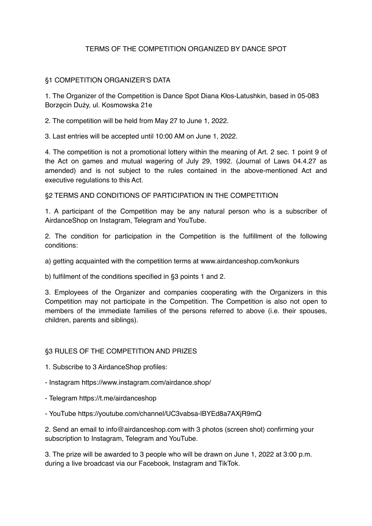# TERMS OF THE COMPETITION ORGANIZED BY DANCE SPOT

### §1 COMPETITION ORGANIZER'S DATA

1. The Organizer of the Competition is Dance Spot Diana Kłos-Latushkin, based in 05-083 Borzęcin Duży, ul. Kosmowska 21e

2. The competition will be held from May 27 to June 1, 2022.

3. Last entries will be accepted until 10:00 AM on June 1, 2022.

4. The competition is not a promotional lottery within the meaning of Art. 2 sec. 1 point 9 of the Act on games and mutual wagering of July 29, 1992. (Journal of Laws 04.4.27 as amended) and is not subject to the rules contained in the above-mentioned Act and executive regulations to this Act.

§2 TERMS AND CONDITIONS OF PARTICIPATION IN THE COMPETITION

1. A participant of the Competition may be any natural person who is a subscriber of AirdanceShop on Instagram, Telegram and YouTube.

2. The condition for participation in the Competition is the fulfillment of the following conditions:

a) getting acquainted with the competition terms at www.airdanceshop.com/konkurs

b) fulfilment of the conditions specified in §3 points 1 and 2.

3. Employees of the Organizer and companies cooperating with the Organizers in this Competition may not participate in the Competition. The Competition is also not open to members of the immediate families of the persons referred to above (i.e. their spouses, children, parents and siblings).

#### §3 RULES OF THE COMPETITION AND PRIZES

1. Subscribe to 3 AirdanceShop profiles:

- Instagram https://www.instagram.com/airdance.shop/

- Telegram https://t.me/airdanceshop
- YouTube https://youtube.com/channel/UC3vabsa-lBYEd8a7AXjR9mQ

2. Send an email to info@airdanceshop.com with 3 photos (screen shot) confirming your subscription to Instagram, Telegram and YouTube.

3. The prize will be awarded to 3 people who will be drawn on June 1, 2022 at 3:00 p.m. during a live broadcast via our Facebook, Instagram and TikTok.